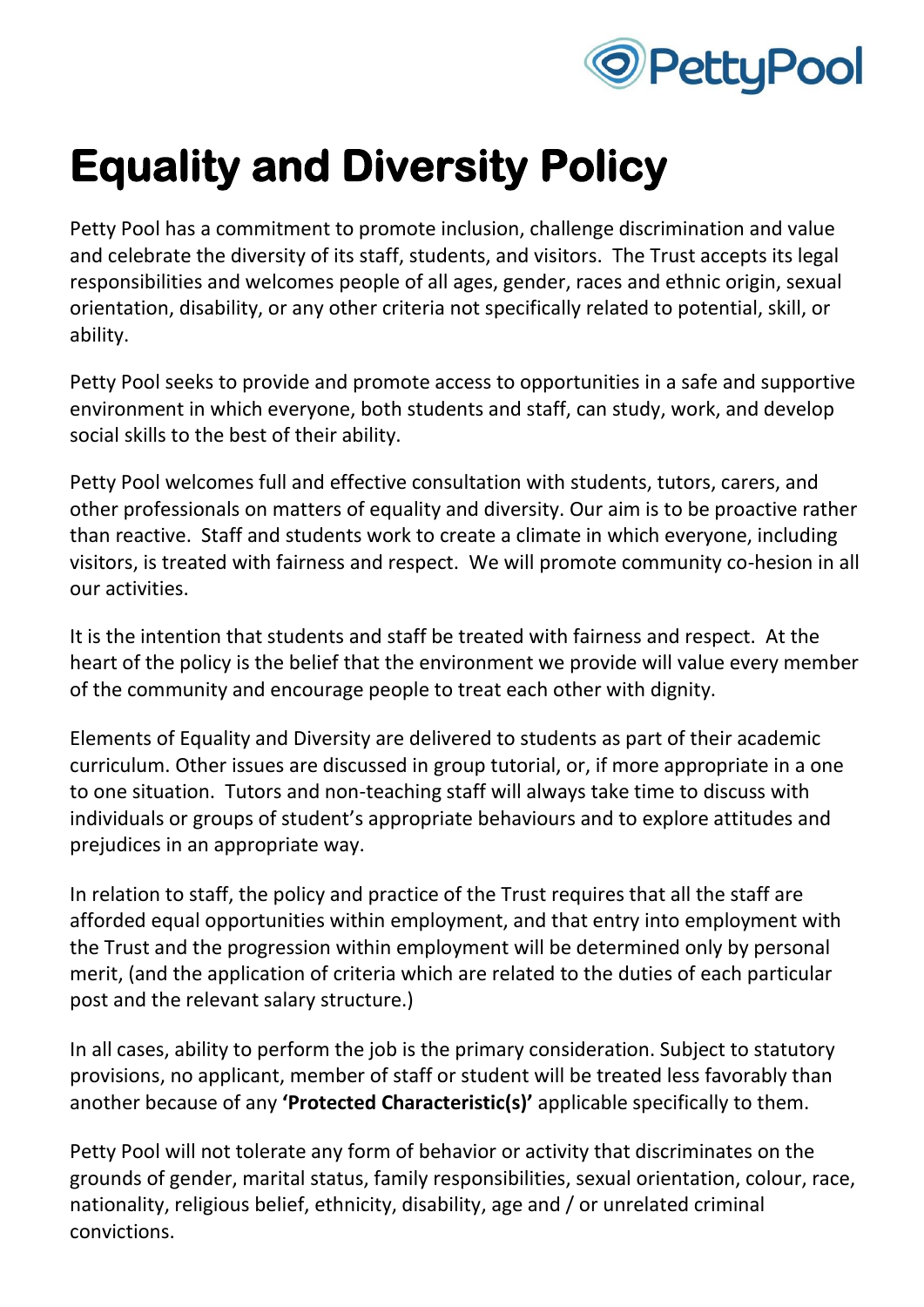

## **Equality and Diversity Policy**

Petty Pool has a commitment to promote inclusion, challenge discrimination and value and celebrate the diversity of its staff, students, and visitors. The Trust accepts its legal responsibilities and welcomes people of all ages, gender, races and ethnic origin, sexual orientation, disability, or any other criteria not specifically related to potential, skill, or ability.

Petty Pool seeks to provide and promote access to opportunities in a safe and supportive environment in which everyone, both students and staff, can study, work, and develop social skills to the best of their ability.

Petty Pool welcomes full and effective consultation with students, tutors, carers, and other professionals on matters of equality and diversity. Our aim is to be proactive rather than reactive. Staff and students work to create a climate in which everyone, including visitors, is treated with fairness and respect. We will promote community co-hesion in all our activities.

It is the intention that students and staff be treated with fairness and respect. At the heart of the policy is the belief that the environment we provide will value every member of the community and encourage people to treat each other with dignity.

Elements of Equality and Diversity are delivered to students as part of their academic curriculum. Other issues are discussed in group tutorial, or, if more appropriate in a one to one situation. Tutors and non-teaching staff will always take time to discuss with individuals or groups of student's appropriate behaviours and to explore attitudes and prejudices in an appropriate way.

In relation to staff, the policy and practice of the Trust requires that all the staff are afforded equal opportunities within employment, and that entry into employment with the Trust and the progression within employment will be determined only by personal merit, (and the application of criteria which are related to the duties of each particular post and the relevant salary structure.)

In all cases, ability to perform the job is the primary consideration. Subject to statutory provisions, no applicant, member of staff or student will be treated less favorably than another because of any **'Protected Characteristic(s)'** applicable specifically to them.

Petty Pool will not tolerate any form of behavior or activity that discriminates on the grounds of gender, marital status, family responsibilities, sexual orientation, colour, race, nationality, religious belief, ethnicity, disability, age and / or unrelated criminal convictions.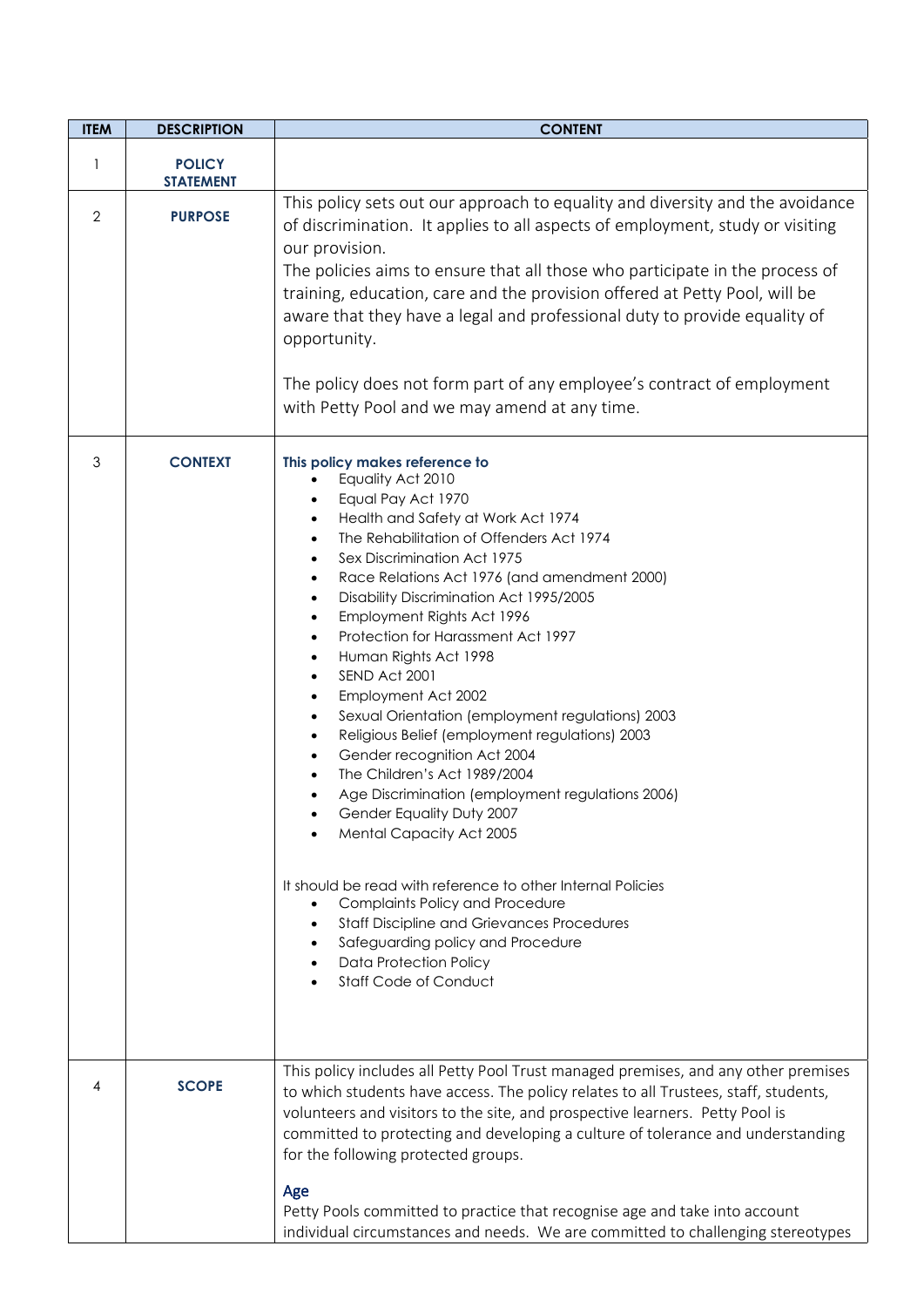| <b>ITEM</b> | <b>DESCRIPTION</b>                | <b>CONTENT</b>                                                                                                                                                                                                                                                                                                                                                                                                                                                                                                                                                                                                                                                                                                                                                                                                                                                                                                                                                                                                                                  |  |
|-------------|-----------------------------------|-------------------------------------------------------------------------------------------------------------------------------------------------------------------------------------------------------------------------------------------------------------------------------------------------------------------------------------------------------------------------------------------------------------------------------------------------------------------------------------------------------------------------------------------------------------------------------------------------------------------------------------------------------------------------------------------------------------------------------------------------------------------------------------------------------------------------------------------------------------------------------------------------------------------------------------------------------------------------------------------------------------------------------------------------|--|
| 1           | <b>POLICY</b><br><b>STATEMENT</b> |                                                                                                                                                                                                                                                                                                                                                                                                                                                                                                                                                                                                                                                                                                                                                                                                                                                                                                                                                                                                                                                 |  |
| 2           | <b>PURPOSE</b>                    | This policy sets out our approach to equality and diversity and the avoidance<br>of discrimination. It applies to all aspects of employment, study or visiting<br>our provision.<br>The policies aims to ensure that all those who participate in the process of<br>training, education, care and the provision offered at Petty Pool, will be<br>aware that they have a legal and professional duty to provide equality of<br>opportunity.<br>The policy does not form part of any employee's contract of employment<br>with Petty Pool and we may amend at any time.                                                                                                                                                                                                                                                                                                                                                                                                                                                                          |  |
| 3           | <b>CONTEXT</b>                    | This policy makes reference to<br>Equality Act 2010<br>Equal Pay Act 1970<br>Health and Safety at Work Act 1974<br>The Rehabilitation of Offenders Act 1974<br>Sex Discrimination Act 1975<br>Race Relations Act 1976 (and amendment 2000)<br>$\bullet$<br>Disability Discrimination Act 1995/2005<br>Employment Rights Act 1996<br>$\bullet$<br>Protection for Harassment Act 1997<br>Human Rights Act 1998<br>$\bullet$<br>SEND Act 2001<br>Employment Act 2002<br>$\bullet$<br>Sexual Orientation (employment regulations) 2003<br>٠<br>Religious Belief (employment regulations) 2003<br>$\bullet$<br>Gender recognition Act 2004<br>The Children's Act 1989/2004<br>Age Discrimination (employment regulations 2006)<br>Gender Equality Duty 2007<br>Mental Capacity Act 2005<br>It should be read with reference to other Internal Policies<br><b>Complaints Policy and Procedure</b><br><b>Staff Discipline and Grievances Procedures</b><br>Safeguarding policy and Procedure<br><b>Data Protection Policy</b><br>Staff Code of Conduct |  |
| 4           | <b>SCOPE</b>                      | This policy includes all Petty Pool Trust managed premises, and any other premises<br>to which students have access. The policy relates to all Trustees, staff, students,<br>volunteers and visitors to the site, and prospective learners. Petty Pool is<br>committed to protecting and developing a culture of tolerance and understanding<br>for the following protected groups.<br>Age<br>Petty Pools committed to practice that recognise age and take into account<br>individual circumstances and needs. We are committed to challenging stereotypes                                                                                                                                                                                                                                                                                                                                                                                                                                                                                     |  |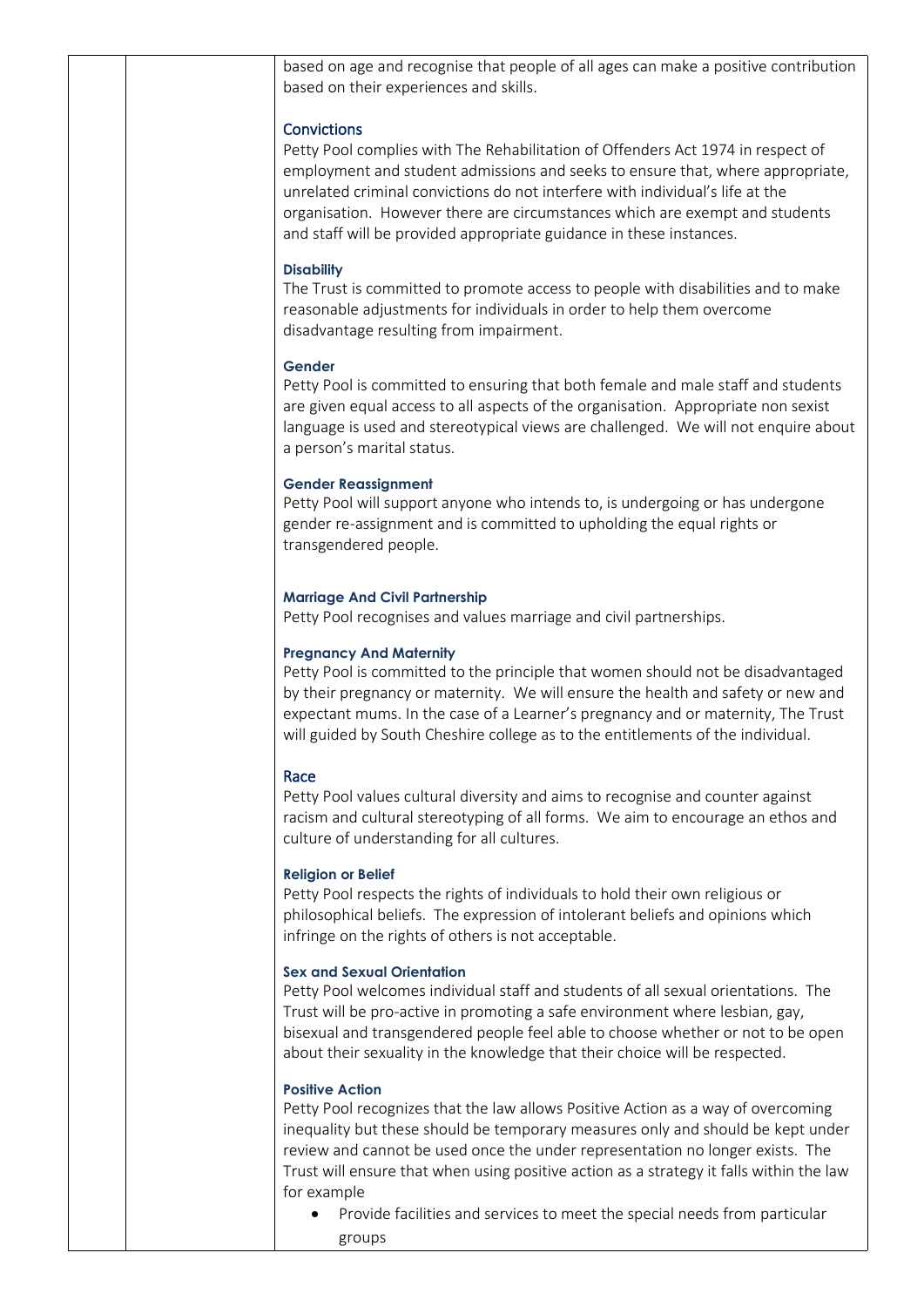|  | based on age and recognise that people of all ages can make a positive contribution<br>based on their experiences and skills.                                                                                                                                                                                                                                                                                                  |
|--|--------------------------------------------------------------------------------------------------------------------------------------------------------------------------------------------------------------------------------------------------------------------------------------------------------------------------------------------------------------------------------------------------------------------------------|
|  | <b>Convictions</b><br>Petty Pool complies with The Rehabilitation of Offenders Act 1974 in respect of<br>employment and student admissions and seeks to ensure that, where appropriate,<br>unrelated criminal convictions do not interfere with individual's life at the<br>organisation. However there are circumstances which are exempt and students<br>and staff will be provided appropriate guidance in these instances. |
|  | <b>Disability</b><br>The Trust is committed to promote access to people with disabilities and to make<br>reasonable adjustments for individuals in order to help them overcome<br>disadvantage resulting from impairment.                                                                                                                                                                                                      |
|  | Gender<br>Petty Pool is committed to ensuring that both female and male staff and students<br>are given equal access to all aspects of the organisation. Appropriate non sexist<br>language is used and stereotypical views are challenged. We will not enquire about<br>a person's marital status.                                                                                                                            |
|  | <b>Gender Reassignment</b><br>Petty Pool will support anyone who intends to, is undergoing or has undergone<br>gender re-assignment and is committed to upholding the equal rights or<br>transgendered people.                                                                                                                                                                                                                 |
|  | <b>Marriage And Civil Partnership</b><br>Petty Pool recognises and values marriage and civil partnerships.                                                                                                                                                                                                                                                                                                                     |
|  | <b>Pregnancy And Maternity</b><br>Petty Pool is committed to the principle that women should not be disadvantaged<br>by their pregnancy or maternity. We will ensure the health and safety or new and<br>expectant mums. In the case of a Learner's pregnancy and or maternity, The Trust<br>will guided by South Cheshire college as to the entitlements of the individual.                                                   |
|  | Race<br>Petty Pool values cultural diversity and aims to recognise and counter against<br>racism and cultural stereotyping of all forms. We aim to encourage an ethos and<br>culture of understanding for all cultures.                                                                                                                                                                                                        |
|  | <b>Religion or Belief</b><br>Petty Pool respects the rights of individuals to hold their own religious or<br>philosophical beliefs. The expression of intolerant beliefs and opinions which<br>infringe on the rights of others is not acceptable.                                                                                                                                                                             |
|  | <b>Sex and Sexual Orientation</b><br>Petty Pool welcomes individual staff and students of all sexual orientations. The<br>Trust will be pro-active in promoting a safe environment where lesbian, gay,<br>bisexual and transgendered people feel able to choose whether or not to be open<br>about their sexuality in the knowledge that their choice will be respected.                                                       |
|  | <b>Positive Action</b><br>Petty Pool recognizes that the law allows Positive Action as a way of overcoming<br>inequality but these should be temporary measures only and should be kept under<br>review and cannot be used once the under representation no longer exists. The<br>Trust will ensure that when using positive action as a strategy it falls within the law<br>for example                                       |
|  | Provide facilities and services to meet the special needs from particular<br>groups                                                                                                                                                                                                                                                                                                                                            |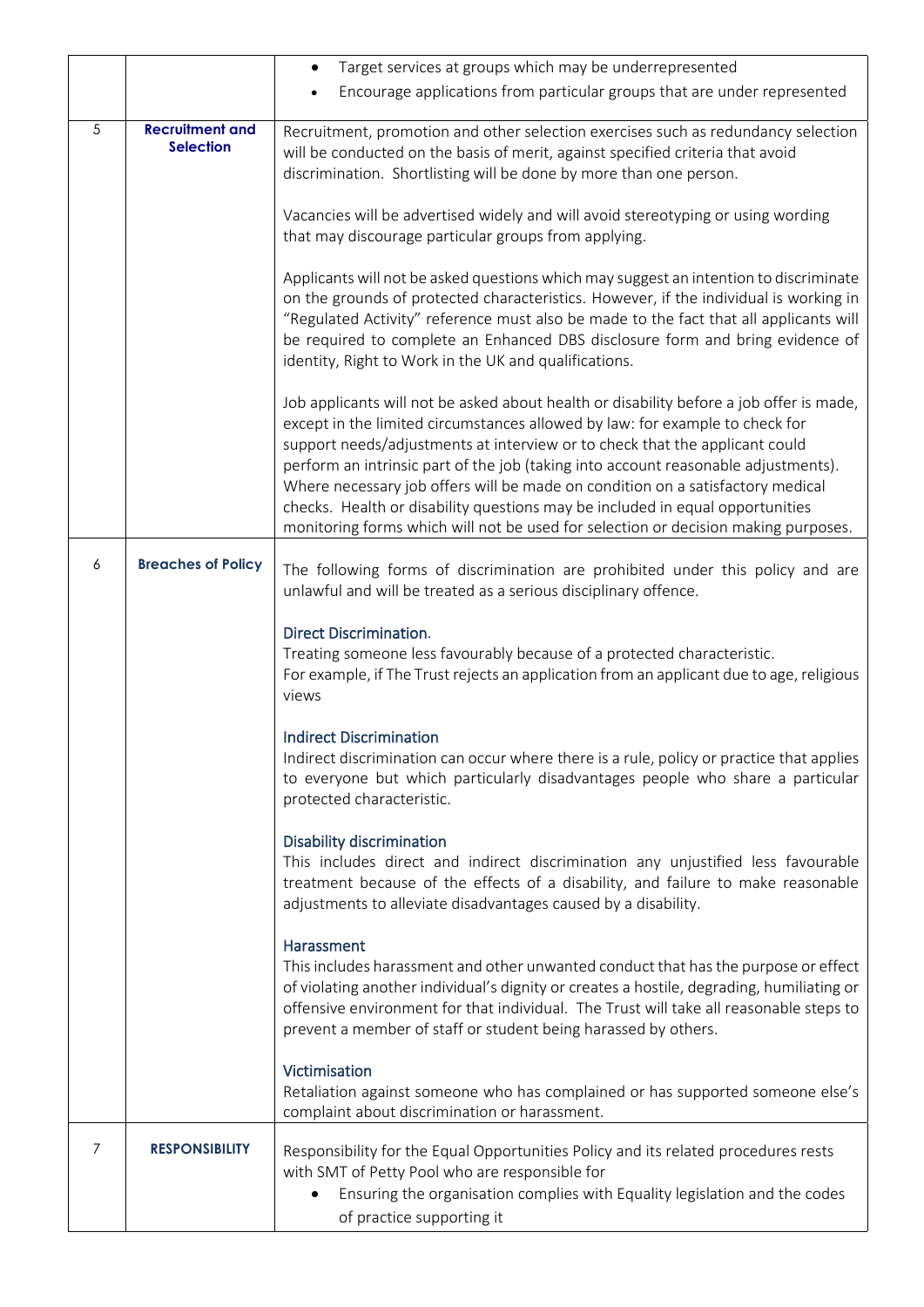|   |                                            | Target services at groups which may be underrepresented<br>$\bullet$                                                                                                                                                                                                                                                                                                                                                                                                                                                                                                                                  |  |
|---|--------------------------------------------|-------------------------------------------------------------------------------------------------------------------------------------------------------------------------------------------------------------------------------------------------------------------------------------------------------------------------------------------------------------------------------------------------------------------------------------------------------------------------------------------------------------------------------------------------------------------------------------------------------|--|
|   |                                            | Encourage applications from particular groups that are under represented                                                                                                                                                                                                                                                                                                                                                                                                                                                                                                                              |  |
| 5 | <b>Recruitment and</b><br><b>Selection</b> | Recruitment, promotion and other selection exercises such as redundancy selection<br>will be conducted on the basis of merit, against specified criteria that avoid<br>discrimination. Shortlisting will be done by more than one person.                                                                                                                                                                                                                                                                                                                                                             |  |
|   |                                            | Vacancies will be advertised widely and will avoid stereotyping or using wording<br>that may discourage particular groups from applying.                                                                                                                                                                                                                                                                                                                                                                                                                                                              |  |
|   |                                            | Applicants will not be asked questions which may suggest an intention to discriminate<br>on the grounds of protected characteristics. However, if the individual is working in<br>"Regulated Activity" reference must also be made to the fact that all applicants will<br>be required to complete an Enhanced DBS disclosure form and bring evidence of<br>identity, Right to Work in the UK and qualifications.                                                                                                                                                                                     |  |
|   |                                            | Job applicants will not be asked about health or disability before a job offer is made,<br>except in the limited circumstances allowed by law: for example to check for<br>support needs/adjustments at interview or to check that the applicant could<br>perform an intrinsic part of the job (taking into account reasonable adjustments).<br>Where necessary job offers will be made on condition on a satisfactory medical<br>checks. Health or disability questions may be included in equal opportunities<br>monitoring forms which will not be used for selection or decision making purposes. |  |
| 6 | <b>Breaches of Policy</b>                  | The following forms of discrimination are prohibited under this policy and are<br>unlawful and will be treated as a serious disciplinary offence.                                                                                                                                                                                                                                                                                                                                                                                                                                                     |  |
|   |                                            | <b>Direct Discrimination.</b><br>Treating someone less favourably because of a protected characteristic.<br>For example, if The Trust rejects an application from an applicant due to age, religious<br>views                                                                                                                                                                                                                                                                                                                                                                                         |  |
|   |                                            | <b>Indirect Discrimination</b><br>Indirect discrimination can occur where there is a rule, policy or practice that applies<br>to everyone but which particularly disadvantages people who share a particular<br>protected characteristic.                                                                                                                                                                                                                                                                                                                                                             |  |
|   |                                            | <b>Disability discrimination</b><br>This includes direct and indirect discrimination any unjustified less favourable<br>treatment because of the effects of a disability, and failure to make reasonable<br>adjustments to alleviate disadvantages caused by a disability.                                                                                                                                                                                                                                                                                                                            |  |
|   |                                            | Harassment<br>This includes harassment and other unwanted conduct that has the purpose or effect<br>of violating another individual's dignity or creates a hostile, degrading, humiliating or<br>offensive environment for that individual. The Trust will take all reasonable steps to<br>prevent a member of staff or student being harassed by others.                                                                                                                                                                                                                                             |  |
|   |                                            | Victimisation<br>Retaliation against someone who has complained or has supported someone else's<br>complaint about discrimination or harassment.                                                                                                                                                                                                                                                                                                                                                                                                                                                      |  |
| 7 | <b>RESPONSIBILITY</b>                      | Responsibility for the Equal Opportunities Policy and its related procedures rests<br>with SMT of Petty Pool who are responsible for<br>Ensuring the organisation complies with Equality legislation and the codes<br>of practice supporting it                                                                                                                                                                                                                                                                                                                                                       |  |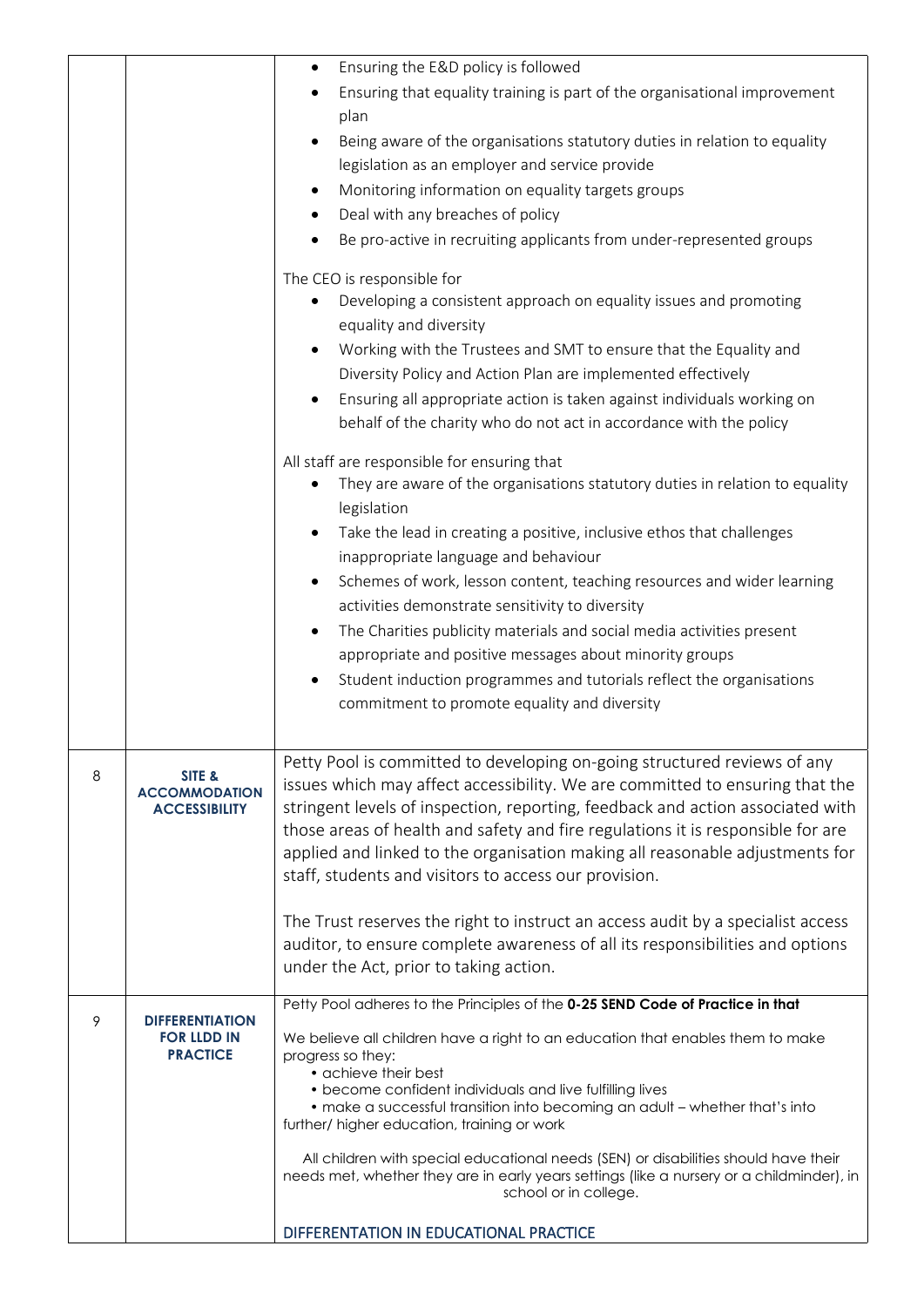|   |                                                                 | Ensuring the E&D policy is followed<br>$\bullet$                                                                                                                                                                                           |
|---|-----------------------------------------------------------------|--------------------------------------------------------------------------------------------------------------------------------------------------------------------------------------------------------------------------------------------|
|   |                                                                 | Ensuring that equality training is part of the organisational improvement                                                                                                                                                                  |
|   |                                                                 | plan                                                                                                                                                                                                                                       |
|   |                                                                 | Being aware of the organisations statutory duties in relation to equality                                                                                                                                                                  |
|   |                                                                 | legislation as an employer and service provide                                                                                                                                                                                             |
|   |                                                                 | Monitoring information on equality targets groups<br>٠                                                                                                                                                                                     |
|   |                                                                 | Deal with any breaches of policy                                                                                                                                                                                                           |
|   |                                                                 | Be pro-active in recruiting applicants from under-represented groups                                                                                                                                                                       |
|   |                                                                 | The CEO is responsible for                                                                                                                                                                                                                 |
|   |                                                                 | Developing a consistent approach on equality issues and promoting                                                                                                                                                                          |
|   |                                                                 | equality and diversity                                                                                                                                                                                                                     |
|   |                                                                 | Working with the Trustees and SMT to ensure that the Equality and<br>$\bullet$                                                                                                                                                             |
|   |                                                                 | Diversity Policy and Action Plan are implemented effectively                                                                                                                                                                               |
|   |                                                                 | Ensuring all appropriate action is taken against individuals working on<br>$\bullet$                                                                                                                                                       |
|   |                                                                 | behalf of the charity who do not act in accordance with the policy                                                                                                                                                                         |
|   |                                                                 | All staff are responsible for ensuring that                                                                                                                                                                                                |
|   |                                                                 | They are aware of the organisations statutory duties in relation to equality<br>legislation                                                                                                                                                |
|   |                                                                 | Take the lead in creating a positive, inclusive ethos that challenges                                                                                                                                                                      |
|   |                                                                 | inappropriate language and behaviour                                                                                                                                                                                                       |
|   |                                                                 | Schemes of work, lesson content, teaching resources and wider learning<br>$\bullet$                                                                                                                                                        |
|   |                                                                 | activities demonstrate sensitivity to diversity                                                                                                                                                                                            |
|   |                                                                 | The Charities publicity materials and social media activities present<br>٠                                                                                                                                                                 |
|   |                                                                 | appropriate and positive messages about minority groups                                                                                                                                                                                    |
|   |                                                                 | Student induction programmes and tutorials reflect the organisations<br>$\bullet$                                                                                                                                                          |
|   |                                                                 | commitment to promote equality and diversity                                                                                                                                                                                               |
|   |                                                                 |                                                                                                                                                                                                                                            |
| 8 | SITE &<br><b>ACCOMMODATION</b><br><b>ACCESSIBILITY</b>          | Petty Pool is committed to developing on-going structured reviews of any<br>issues which may affect accessibility. We are committed to ensuring that the<br>stringent levels of inspection, reporting, feedback and action associated with |
|   |                                                                 | those areas of health and safety and fire regulations it is responsible for are<br>applied and linked to the organisation making all reasonable adjustments for<br>staff, students and visitors to access our provision.                   |
|   |                                                                 | The Trust reserves the right to instruct an access audit by a specialist access                                                                                                                                                            |
|   |                                                                 | auditor, to ensure complete awareness of all its responsibilities and options                                                                                                                                                              |
|   |                                                                 | under the Act, prior to taking action.                                                                                                                                                                                                     |
|   |                                                                 | Petty Pool adheres to the Principles of the 0-25 SEND Code of Practice in that                                                                                                                                                             |
| 9 | <b>DIFFERENTIATION</b><br><b>FOR LLDD IN</b><br><b>PRACTICE</b> | We believe all children have a right to an education that enables them to make<br>progress so they:<br>• achieve their best<br>• become confident individuals and live fulfilling lives                                                    |
|   |                                                                 | • make a successful transition into becoming an adult - whether that's into<br>further/ higher education, training or work                                                                                                                 |
|   |                                                                 | All children with special educational needs (SEN) or disabilities should have their<br>needs met, whether they are in early years settings (like a nursery or a childminder), in<br>school or in college.                                  |
|   |                                                                 | DIFFERENTATION IN EDUCATIONAL PRACTICE                                                                                                                                                                                                     |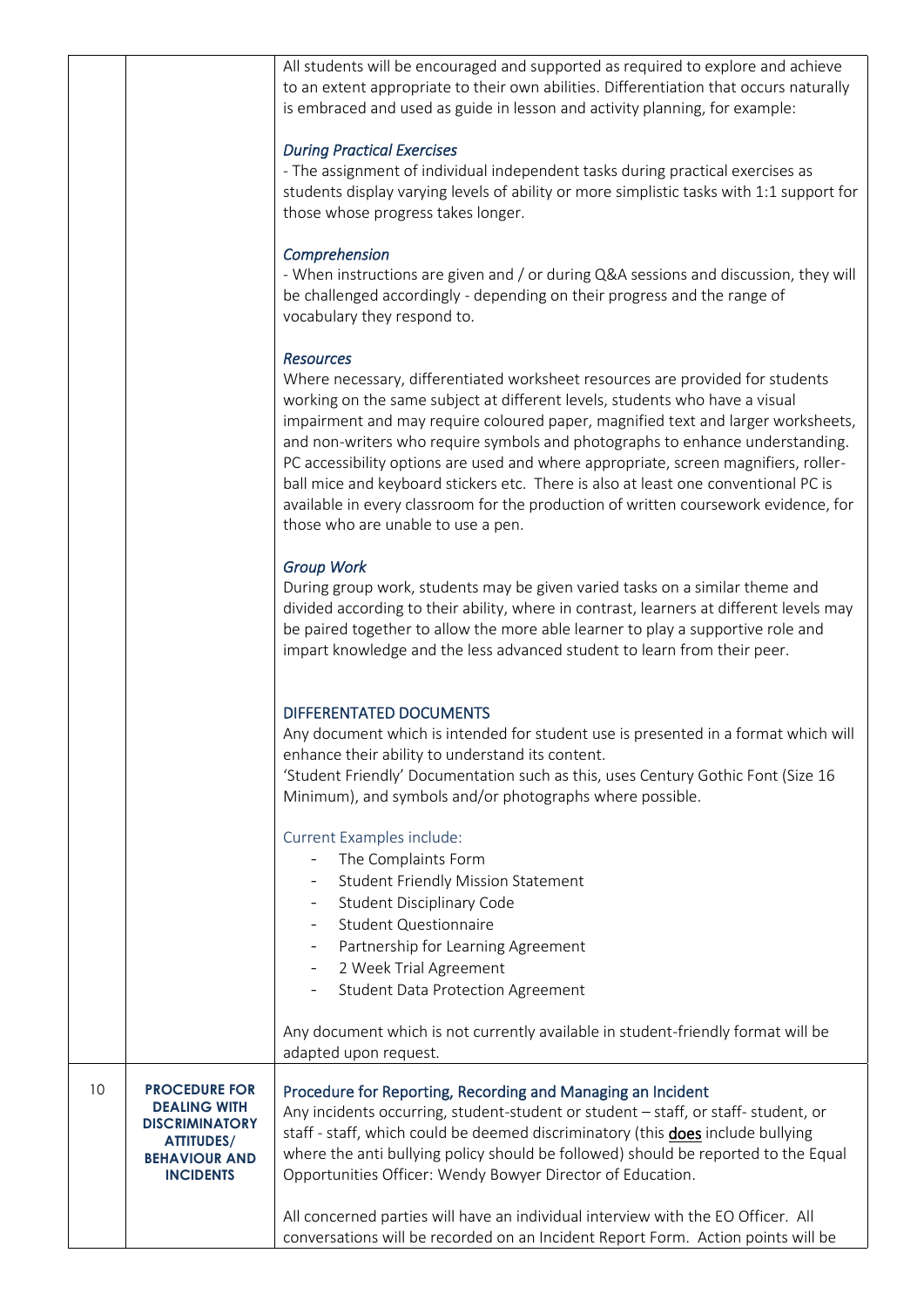|    |                                                                                                                                       | All students will be encouraged and supported as required to explore and achieve<br>to an extent appropriate to their own abilities. Differentiation that occurs naturally<br>is embraced and used as guide in lesson and activity planning, for example:                                                                                                                                                                                                                                                                                                                                                                                                       |
|----|---------------------------------------------------------------------------------------------------------------------------------------|-----------------------------------------------------------------------------------------------------------------------------------------------------------------------------------------------------------------------------------------------------------------------------------------------------------------------------------------------------------------------------------------------------------------------------------------------------------------------------------------------------------------------------------------------------------------------------------------------------------------------------------------------------------------|
|    |                                                                                                                                       | <b>During Practical Exercises</b><br>- The assignment of individual independent tasks during practical exercises as<br>students display varying levels of ability or more simplistic tasks with 1:1 support for<br>those whose progress takes longer.                                                                                                                                                                                                                                                                                                                                                                                                           |
|    |                                                                                                                                       | Comprehension<br>- When instructions are given and / or during Q&A sessions and discussion, they will<br>be challenged accordingly - depending on their progress and the range of<br>vocabulary they respond to.                                                                                                                                                                                                                                                                                                                                                                                                                                                |
|    |                                                                                                                                       | <b>Resources</b><br>Where necessary, differentiated worksheet resources are provided for students<br>working on the same subject at different levels, students who have a visual<br>impairment and may require coloured paper, magnified text and larger worksheets,<br>and non-writers who require symbols and photographs to enhance understanding.<br>PC accessibility options are used and where appropriate, screen magnifiers, roller-<br>ball mice and keyboard stickers etc. There is also at least one conventional PC is<br>available in every classroom for the production of written coursework evidence, for<br>those who are unable to use a pen. |
|    |                                                                                                                                       | <b>Group Work</b><br>During group work, students may be given varied tasks on a similar theme and<br>divided according to their ability, where in contrast, learners at different levels may<br>be paired together to allow the more able learner to play a supportive role and<br>impart knowledge and the less advanced student to learn from their peer.                                                                                                                                                                                                                                                                                                     |
|    |                                                                                                                                       | DIFFERENTATED DOCUMENTS<br>Any document which is intended for student use is presented in a format which will<br>enhance their ability to understand its content.<br>'Student Friendly' Documentation such as this, uses Century Gothic Font (Size 16<br>Minimum), and symbols and/or photographs where possible.                                                                                                                                                                                                                                                                                                                                               |
|    |                                                                                                                                       | Current Examples include:<br>The Complaints Form<br><b>Student Friendly Mission Statement</b><br><b>Student Disciplinary Code</b><br><b>Student Questionnaire</b><br>Partnership for Learning Agreement<br>2 Week Trial Agreement<br><b>Student Data Protection Agreement</b>                                                                                                                                                                                                                                                                                                                                                                                   |
|    |                                                                                                                                       | Any document which is not currently available in student-friendly format will be<br>adapted upon request.                                                                                                                                                                                                                                                                                                                                                                                                                                                                                                                                                       |
| 10 | <b>PROCEDURE FOR</b><br><b>DEALING WITH</b><br><b>DISCRIMINATORY</b><br><b>ATTITUDES/</b><br><b>BEHAVIOUR AND</b><br><b>INCIDENTS</b> | Procedure for Reporting, Recording and Managing an Incident<br>Any incidents occurring, student-student or student - staff, or staff- student, or<br>staff - staff, which could be deemed discriminatory (this does include bullying<br>where the anti bullying policy should be followed) should be reported to the Equal<br>Opportunities Officer: Wendy Bowyer Director of Education.                                                                                                                                                                                                                                                                        |
|    |                                                                                                                                       | All concerned parties will have an individual interview with the EO Officer. All<br>conversations will be recorded on an Incident Report Form. Action points will be                                                                                                                                                                                                                                                                                                                                                                                                                                                                                            |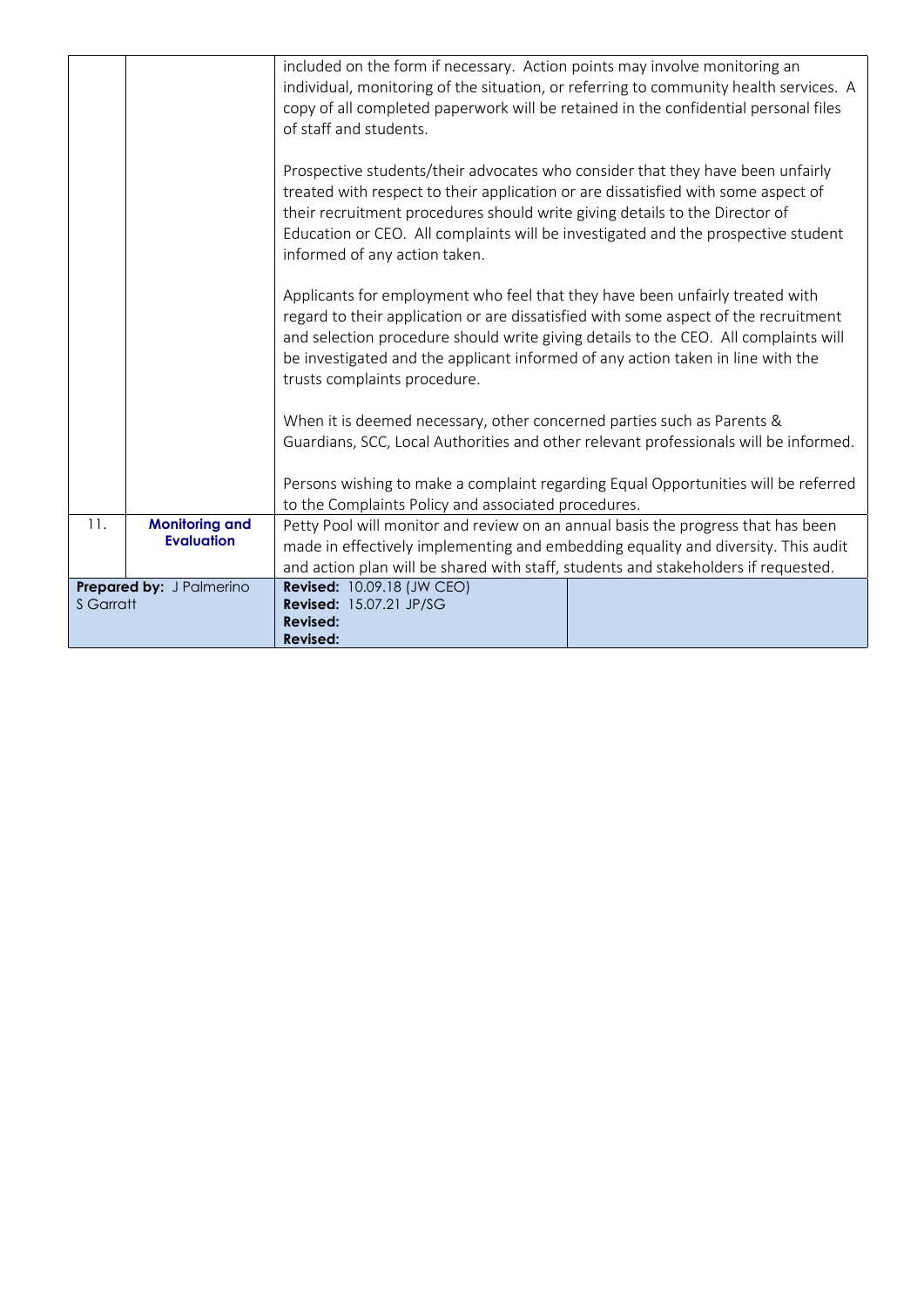|                  |                                                                                                           | included on the form if necessary. Action points may involve monitoring an<br>copy of all completed paperwork will be retained in the confidential personal files<br>of staff and students.<br>Prospective students/their advocates who consider that they have been unfairly<br>treated with respect to their application or are dissatisfied with some aspect of<br>their recruitment procedures should write giving details to the Director of<br>Education or CEO. All complaints will be investigated and the prospective student | individual, monitoring of the situation, or referring to community health services. A                                                                                      |
|------------------|-----------------------------------------------------------------------------------------------------------|----------------------------------------------------------------------------------------------------------------------------------------------------------------------------------------------------------------------------------------------------------------------------------------------------------------------------------------------------------------------------------------------------------------------------------------------------------------------------------------------------------------------------------------|----------------------------------------------------------------------------------------------------------------------------------------------------------------------------|
|                  |                                                                                                           | informed of any action taken.<br>Applicants for employment who feel that they have been unfairly treated with<br>regard to their application or are dissatisfied with some aspect of the recruitment<br>and selection procedure should write giving details to the CEO. All complaints will<br>be investigated and the applicant informed of any action taken in line with the<br>trusts complaints procedure.                                                                                                                         |                                                                                                                                                                            |
|                  |                                                                                                           | When it is deemed necessary, other concerned parties such as Parents &<br>to the Complaints Policy and associated procedures.                                                                                                                                                                                                                                                                                                                                                                                                          | Guardians, SCC, Local Authorities and other relevant professionals will be informed.<br>Persons wishing to make a complaint regarding Equal Opportunities will be referred |
| 11.              | <b>Monitoring and</b><br>Petty Pool will monitor and review on an annual basis the progress that has been |                                                                                                                                                                                                                                                                                                                                                                                                                                                                                                                                        |                                                                                                                                                                            |
|                  | <b>Evaluation</b>                                                                                         | made in effectively implementing and embedding equality and diversity. This audit                                                                                                                                                                                                                                                                                                                                                                                                                                                      |                                                                                                                                                                            |
|                  |                                                                                                           | and action plan will be shared with staff, students and stakeholders if requested.                                                                                                                                                                                                                                                                                                                                                                                                                                                     |                                                                                                                                                                            |
|                  | Prepared by: J Palmerino                                                                                  | <b>Revised: 10.09.18 (JW CEO)</b>                                                                                                                                                                                                                                                                                                                                                                                                                                                                                                      |                                                                                                                                                                            |
| <b>S</b> Garratt |                                                                                                           | Revised: 15.07.21 JP/SG                                                                                                                                                                                                                                                                                                                                                                                                                                                                                                                |                                                                                                                                                                            |
|                  |                                                                                                           | Revised:                                                                                                                                                                                                                                                                                                                                                                                                                                                                                                                               |                                                                                                                                                                            |
|                  |                                                                                                           | <b>Revised:</b>                                                                                                                                                                                                                                                                                                                                                                                                                                                                                                                        |                                                                                                                                                                            |